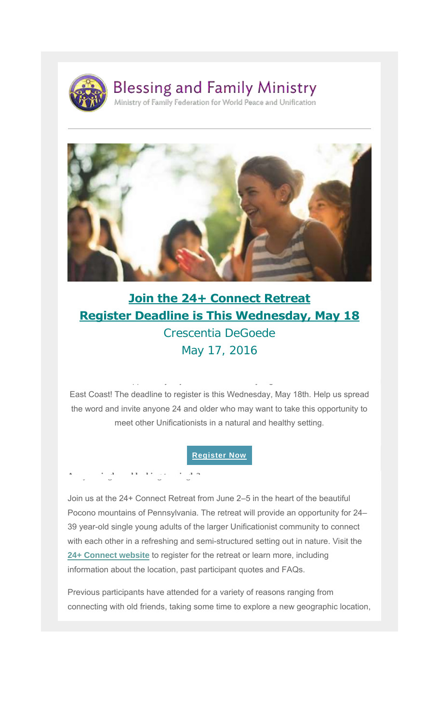

**Are you single and looking to mingle?**



### **Join the 24+ Connect Retreat Register Deadline is This Wednesday, May 18**

Crescentia DeGoede May 17, 2016

East Coast! The deadline to register is this Wednesday, May 18th. Help us spread the word and invite anyone 24 and older who may want to take this opportunity to meet other Unificationists in a natural and healthy setting.

Don't miss the opportunity to join the first nationally organized 24+ retreat on the

#### **Register Now**

Join us at the 24+ Connect Retreat from June 2–5 in the heart of the beautiful Pocono mountains of Pennsylvania. The retreat will provide an opportunity for 24– 39 year-old single young adults of the larger Unificationist community to connect with each other in a refreshing and semi-structured setting out in nature. Visit the **24+ Connect website** to register for the retreat or learn more, including information about the location, past participant quotes and FAQs.

Previous participants have attended for a variety of reasons ranging from connecting with old friends, taking some time to explore a new geographic location,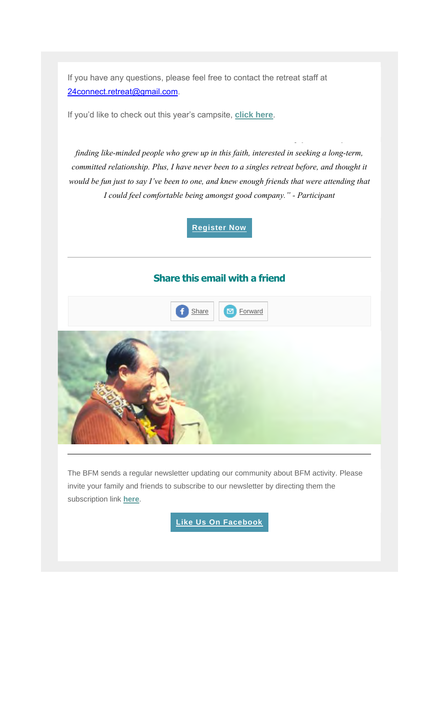If you have any questions, please feel free to contact the retreat staff at 24connect.retreat@gmail.com.

If you'd like to check out this year's campsite, **click here**.

*finding like-minded people who grew up in this faith, interested in seeking a long-term, committed relationship. Plus, I have never been to a singles retreat before, and thought it would be fun just to say I've been to one, and knew enough friends that were attending that I could feel comfortable being amongst good company." - Participant*

*"I decided to attend the retreat because it seemed like the most hopeful event as far as* 

**Register Now**

### **Share this email with a friend**



The BFM sends a regular newsletter updating our community about BFM activity. Please invite your family and friends to subscribe to our newsletter by directing them the subscription link **here**.

**Like Us On Facebook**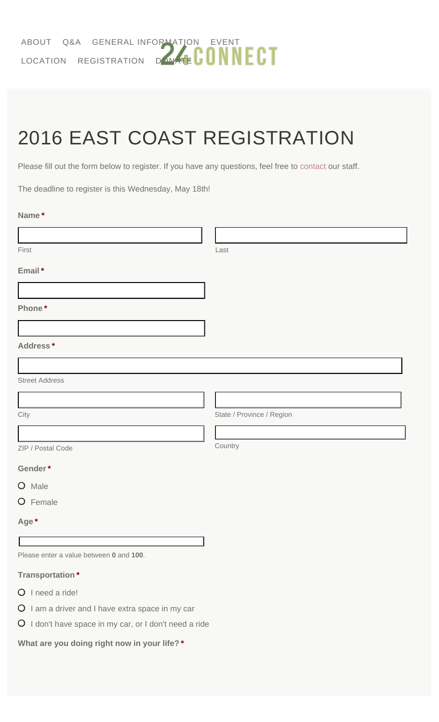# 2016 EAST COAST REGISTRATION

Please fill out the form below to register. If you have any questions, feel free to contact our staff.

The deadline to register is this Wednesday, May 18th!

| Name* |  |
|-------|--|
|       |  |

| First                                                  | Last                      |
|--------------------------------------------------------|---------------------------|
| Email*                                                 |                           |
|                                                        |                           |
| Phone*                                                 |                           |
|                                                        |                           |
| Address*                                               |                           |
|                                                        |                           |
| <b>Street Address</b>                                  |                           |
|                                                        |                           |
| City                                                   | State / Province / Region |
|                                                        |                           |
| ZIP / Postal Code                                      | Country                   |
| Gender*                                                |                           |
| O Male                                                 |                           |
| O Female                                               |                           |
| Age*                                                   |                           |
|                                                        |                           |
| Please enter a value between 0 and 100.                |                           |
| <b>Transportation*</b>                                 |                           |
| O I need a ride!                                       |                           |
| O I am a driver and I have extra space in my car       |                           |
| O I don't have space in my car, or I don't need a ride |                           |

**What are you doing right now in your life? \***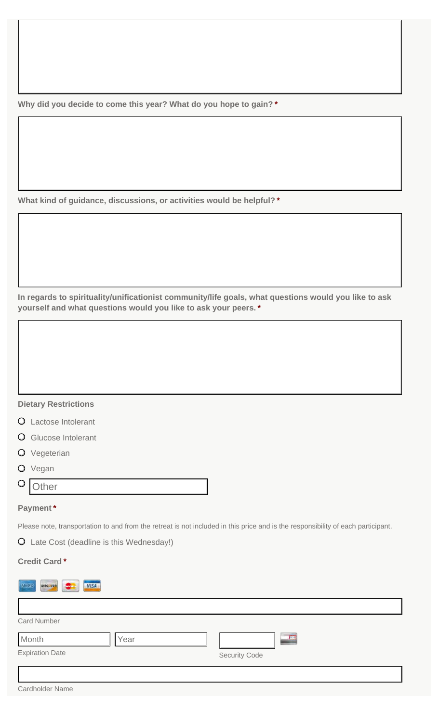**Why did you decide to come this year? What do you hope to gain? \***

**What kind of guidance, discussions, or activities would be helpful? \***

**In regards to spirituality/unificationist community/life goals, what questions would you like to ask yourself and what questions would you like to ask your peers. \***

#### **Dietary Restrictions**

- Lactose Intolerant
- O Glucose Intolerant
- O Vegeterian
- O Vegan

#### $\circ$ **Other**

#### **Payment \***

Please note, transportation to and from the retreat is not included in this price and is the responsibility of each participant.

Late Cost (deadline is this Wednesday!)

#### **Credit Card \***

| DIEC VER<br>AMEX<br><b>VISA</b><br><b>Station</b> |      |               |
|---------------------------------------------------|------|---------------|
|                                                   |      |               |
| <b>Card Number</b>                                |      |               |
| Month                                             | Year | œ             |
| <b>Expiration Date</b>                            |      | Security Code |
|                                                   |      |               |
| Cardholder Name                                   |      |               |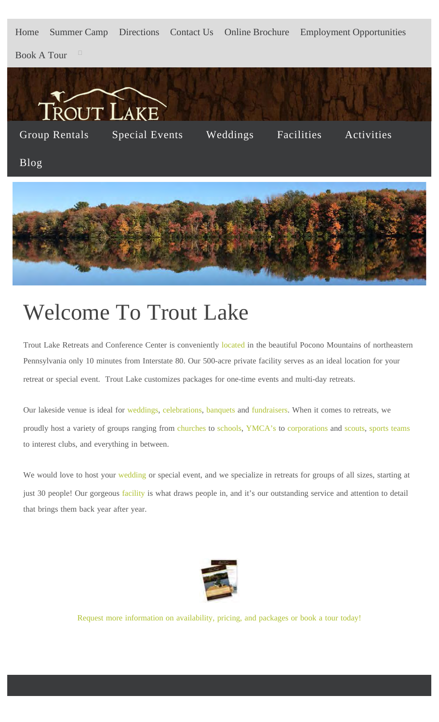Home Summer Camp Directions Contact Us Online Brochure Employment Opportunities

Book A Tour



## Welcome To Trout Lake

Trout Lake Retreats and Conference Center is conveniently located in the beautiful Pocono Mountains of northeastern Pennsylvania only 10 minutes from Interstate 80. Our 500-acre private facility serves as an ideal location for your retreat or special event. Trout Lake customizes packages for one-time events and multi-day retreats.

Our lakeside venue is ideal for weddings, celebrations, banquets and fundraisers. When it comes to retreats, we proudly host a variety of groups ranging from churches to schools, YMCA's to corporations and scouts, sports teams to interest clubs, and everything in between.

We would love to host your wedding or special event, and we specialize in retreats for groups of all sizes, starting at just 30 people! Our gorgeous facility is what draws people in, and it's our outstanding service and attention to detail that brings them back year after year.



Request more information on availability, pricing, and packages or book a tour today!